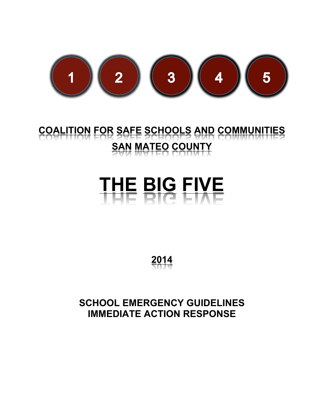

## **COALITION FOR SAFE SCHOOLS AND COMMUNITIES SAN MATEO COUNTY**

# **THE BIG FIVE**

**2014**

**SCHOOL EMERGENCY GUIDELINES IMMEDIATE ACTION RESPONSE**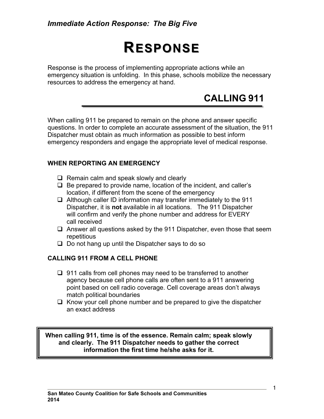#### *Immediate Action Response: The Big Five*

# **RESPONSE ESPONSE**

Response is the process of implementing appropriate actions while an emergency situation is unfolding. In this phase, schools mobilize the necessary resources to address the emergency at hand.

## **CALLING 911**

When calling 911 be prepared to remain on the phone and answer specific questions. In order to complete an accurate assessment of the situation, the 911 Dispatcher must obtain as much information as possible to best inform emergency responders and engage the appropriate level of medical response.

#### **WHEN REPORTING AN EMERGENCY**

- $\Box$  Remain calm and speak slowly and clearly
- $\Box$  Be prepared to provide name, location of the incident, and caller's location, if different from the scene of the emergency
- $\Box$  Although caller ID information may transfer immediately to the 911 Dispatcher, it is **not** available in all locations. The 911 Dispatcher will confirm and verify the phone number and address for EVERY call received
- $\Box$  Answer all questions asked by the 911 Dispatcher, even those that seem repetitious
- $\Box$  Do not hang up until the Dispatcher says to do so

#### **CALLING 911 FROM A CELL PHONE**

- $\Box$  911 calls from cell phones may need to be transferred to another agency because cell phone calls are often sent to a 911 answering point based on cell radio coverage. Cell coverage areas don't always match political boundaries
- $\Box$  Know your cell phone number and be prepared to give the dispatcher an exact address

**When calling 911, time is of the essence. Remain calm; speak slowly and clearly. The 911 Dispatcher needs to gather the correct information the first time he/she asks for it.**

1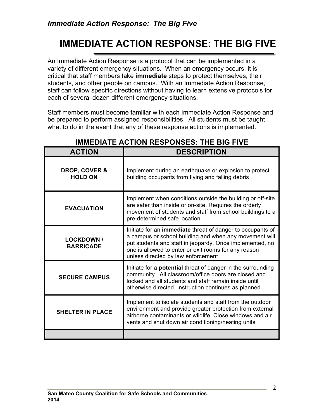## **IMMEDIATE ACTION RESPONSE: THE BIG FIVE**

An Immediate Action Response is a protocol that can be implemented in a variety of different emergency situations. When an emergency occurs, it is critical that staff members take **immediate** steps to protect themselves, their students, and other people on campus. With an Immediate Action Response, staff can follow specific directions without having to learn extensive protocols for each of several dozen different emergency situations.

Staff members must become familiar with each Immediate Action Response and be prepared to perform assigned responsibilities. All students must be taught what to do in the event that any of these response actions is implemented.

| <b>ACTION</b>                              | <b>DESCRIPTION</b>                                                                                                                                                                                                                                                             |
|--------------------------------------------|--------------------------------------------------------------------------------------------------------------------------------------------------------------------------------------------------------------------------------------------------------------------------------|
| <b>DROP, COVER &amp;</b><br><b>HOLD ON</b> | Implement during an earthquake or explosion to protect<br>building occupants from flying and falling debris                                                                                                                                                                    |
| <b>EVACUATION</b>                          | Implement when conditions outside the building or off-site<br>are safer than inside or on-site. Requires the orderly<br>movement of students and staff from school buildings to a<br>pre-determined safe location                                                              |
| <b>LOCKDOWN /</b><br><b>BARRICADE</b>      | Initiate for an immediate threat of danger to occupants of<br>a campus or school building and when any movement will<br>put students and staff in jeopardy. Once implemented, no<br>one is allowed to enter or exit rooms for any reason<br>unless directed by law enforcement |
| <b>SECURE CAMPUS</b>                       | Initiate for a potential threat of danger in the surrounding<br>community. All classroom/office doors are closed and<br>locked and all students and staff remain inside until<br>otherwise directed. Instruction continues as planned                                          |
| <b>SHELTER IN PLACE</b>                    | Implement to isolate students and staff from the outdoor<br>environment and provide greater protection from external<br>airborne contaminants or wildlife. Close windows and air<br>vents and shut down air conditioning/heating units                                         |
|                                            |                                                                                                                                                                                                                                                                                |

#### **IMMEDIATE ACTION RESPONSES: THE BIG FIVE**

2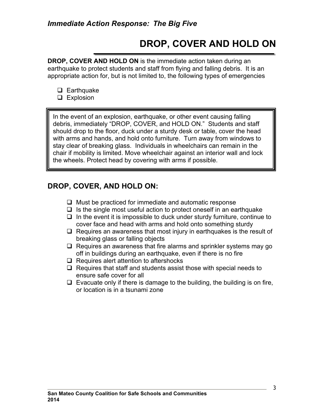## **DROP, COVER AND HOLD ON**

**DROP, COVER AND HOLD ON** is the immediate action taken during an earthquake to protect students and staff from flying and falling debris. It is an appropriate action for, but is not limited to, the following types of emergencies

- $\Box$  Earthquake
- $\Box$  Explosion

In the event of an explosion, earthquake, or other event causing falling debris, immediately "DROP, COVER, and HOLD ON." Students and staff should drop to the floor, duck under a sturdy desk or table, cover the head with arms and hands, and hold onto furniture. Turn away from windows to stay clear of breaking glass. Individuals in wheelchairs can remain in the chair if mobility is limited. Move wheelchair against an interior wall and lock the wheels. Protect head by covering with arms if possible.

#### **DROP, COVER, AND HOLD ON:**

- $\Box$  Must be practiced for immediate and automatic response
- $\Box$  Is the single most useful action to protect oneself in an earthquake
- $\Box$  In the event it is impossible to duck under sturdy furniture, continue to cover face and head with arms and hold onto something sturdy
- $\Box$  Requires an awareness that most injury in earthquakes is the result of breaking glass or falling objects
- $\Box$  Requires an awareness that fire alarms and sprinkler systems may go off in buildings during an earthquake, even if there is no fire
- $\Box$  Requires alert attention to aftershocks
- $\Box$  Requires that staff and students assist those with special needs to ensure safe cover for all
- $\Box$  Evacuate only if there is damage to the building, the building is on fire, or location is in a tsunami zone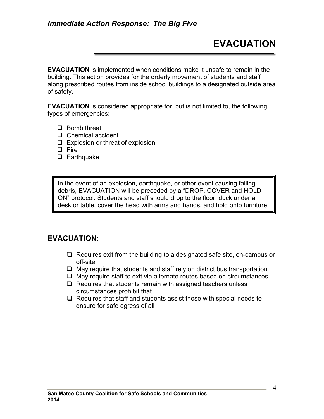**EVACUATION** is implemented when conditions make it unsafe to remain in the building. This action provides for the orderly movement of students and staff along prescribed routes from inside school buildings to a designated outside area of safety.

**EVACUATION** is considered appropriate for, but is not limited to, the following types of emergencies:

- $\Box$  Bomb threat
- $\Box$  Chemical accident
- $\Box$  Explosion or threat of explosion
- q Fire
- $\Box$  Earthquake

In the event of an explosion, earthquake, or other event causing falling debris, EVACUATION will be preceded by a "DROP, COVER and HOLD ON" protocol. Students and staff should drop to the floor, duck under a desk or table, cover the head with arms and hands, and hold onto furniture.

#### **EVACUATION:**

- $\Box$  Requires exit from the building to a designated safe site, on-campus or off-site
- $\Box$  May require that students and staff rely on district bus transportation
- $\Box$  May require staff to exit via alternate routes based on circumstances
- $\Box$  Requires that students remain with assigned teachers unless circumstances prohibit that
- $\Box$  Requires that staff and students assist those with special needs to ensure for safe egress of all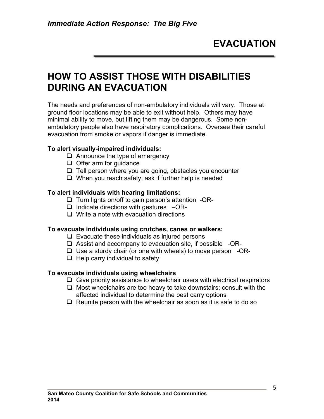## **HOW TO ASSIST THOSE WITH DISABILITIES DURING AN EVACUATION**

The needs and preferences of non-ambulatory individuals will vary. Those at ground floor locations may be able to exit without help. Others may have minimal ability to move, but lifting them may be dangerous. Some nonambulatory people also have respiratory complications. Oversee their careful evacuation from smoke or vapors if danger is immediate.

#### **To alert visually-impaired individuals:**

- $\Box$  Announce the type of emergency
- $\Box$  Offer arm for quidance
- $\Box$  Tell person where you are going, obstacles you encounter
- $\Box$  When you reach safety, ask if further help is needed

#### **To alert individuals with hearing limitations:**

- $\Box$  Turn lights on/off to gain person's attention -OR-
- $\Box$  Indicate directions with gestures  $-\text{OR}$ -
- $\Box$  Write a note with evacuation directions

#### **To evacuate individuals using crutches, canes or walkers:**

- $\Box$  Evacuate these individuals as injured persons
- $\Box$  Assist and accompany to evacuation site, if possible -OR-
- $\Box$  Use a sturdy chair (or one with wheels) to move person -OR-
- $\Box$  Help carry individual to safety

#### **To evacuate individuals using wheelchairs**

- $\Box$  Give priority assistance to wheelchair users with electrical respirators
- $\Box$  Most wheelchairs are too heavy to take downstairs; consult with the affected individual to determine the best carry options
- $\Box$  Reunite person with the wheelchair as soon as it is safe to do so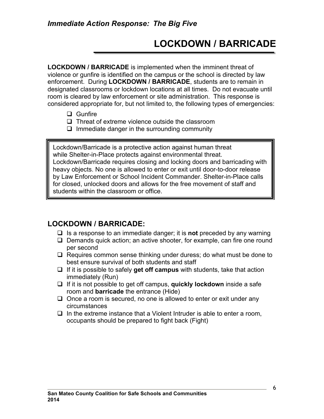## **LOCKDOWN / BARRICADE**

**LOCKDOWN / BARRICADE** is implemented when the imminent threat of violence or gunfire is identified on the campus or the school is directed by law enforcement. During **LOCKDOWN / BARRICADE**, students are to remain in designated classrooms or lockdown locations at all times. Do not evacuate until room is cleared by law enforcement or site administration. This response is considered appropriate for, but not limited to, the following types of emergencies:

- $\Box$  Gunfire
- $\Box$  Threat of extreme violence outside the classroom
- $\Box$  Immediate danger in the surrounding community

Lockdown/Barricade is a protective action against human threat while Shelter-in-Place protects against environmental threat. Lockdown/Barricade requires closing and locking doors and barricading with heavy objects. No one is allowed to enter or exit until door-to-door release by Law Enforcement or School Incident Commander. Shelter-in-Place calls for closed, unlocked doors and allows for the free movement of staff and students within the classroom or office.

#### **LOCKDOWN / BARRICADE:**

- □ Is a response to an immediate danger; it is **not** preceded by any warning
- $\Box$  Demands quick action; an active shooter, for example, can fire one round per second
- $\Box$  Requires common sense thinking under duress; do what must be done to best ensure survival of both students and staff
- $\Box$  If it is possible to safely **get off campus** with students, take that action immediately (Run)
- **□** If it is not possible to get off campus, **quickly lockdown** inside a safe room and **barricade** the entrance (Hide)
- $\Box$  Once a room is secured, no one is allowed to enter or exit under any circumstances
- $\Box$  In the extreme instance that a Violent Intruder is able to enter a room, occupants should be prepared to fight back (Fight)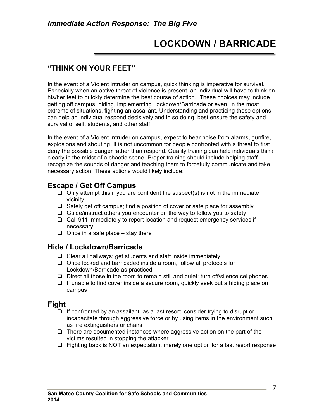## **LOCKDOWN / BARRICADE**

#### **"THINK ON YOUR FEET"**

In the event of a Violent Intruder on campus, quick thinking is imperative for survival. Especially when an active threat of violence is present, an individual will have to think on his/her feet to quickly determine the best course of action. These choices may include getting off campus, hiding, implementing Lockdown/Barricade or even, in the most extreme of situations, fighting an assailant. Understanding and practicing these options can help an individual respond decisively and in so doing, best ensure the safety and survival of self, students, and other staff.

In the event of a Violent Intruder on campus, expect to hear noise from alarms, gunfire, explosions and shouting. It is not uncommon for people confronted with a threat to first deny the possible danger rather than respond. Quality training can help individuals think clearly in the midst of a chaotic scene. Proper training should include helping staff recognize the sounds of danger and teaching them to forcefully communicate and take necessary action. These actions would likely include:

#### **Escape / Get Off Campus**

- $\Box$  Only attempt this if you are confident the suspect(s) is not in the immediate vicinity
- $\Box$  Safely get off campus; find a position of cover or safe place for assembly
- $\Box$  Guide/instruct others you encounter on the way to follow you to safety
- $\Box$  Call 911 immediately to report location and request emergency services if necessary
- $\Box$  Once in a safe place stay there

#### **Hide / Lockdown/Barricade**

- $\Box$  Clear all hallways; get students and staff inside immediately
- $\Box$  Once locked and barricaded inside a room, follow all protocols for Lockdown/Barricade as practiced
- $\Box$  Direct all those in the room to remain still and quiet; turn off/silence cellphones
- $\Box$  If unable to find cover inside a secure room, quickly seek out a hiding place on campus

#### **Fight**

- $\Box$  If confronted by an assailant, as a last resort, consider trying to disrupt or incapacitate through aggressive force or by using items in the environment such as fire extinguishers or chairs
- $\Box$  There are documented instances where aggressive action on the part of the victims resulted in stopping the attacker
- $\Box$  Fighting back is NOT an expectation, merely one option for a last resort response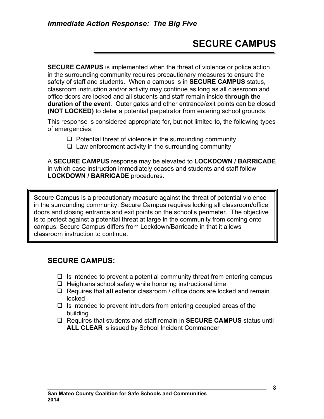## **SECURE CAMPUS**

**SECURE CAMPUS** is implemented when the threat of violence or police action in the surrounding community requires precautionary measures to ensure the safety of staff and students. When a campus is in **SECURE CAMPUS** status, classroom instruction and/or activity may continue as long as all classroom and office doors are locked and all students and staff remain inside **through the duration of the event**. Outer gates and other entrance/exit points can be closed **(NOT LOCKED)** to deter a potential perpetrator from entering school grounds.

This response is considered appropriate for, but not limited to, the following types of emergencies:

 $\Box$  Potential threat of violence in the surrounding community

 $\Box$  Law enforcement activity in the surrounding community

A **SECURE CAMPUS** response may be elevated to **LOCKDOWN / BARRICADE** in which case instruction immediately ceases and students and staff follow **LOCKDOWN / BARRICADE** procedures.

Secure Campus is a precautionary measure against the threat of potential violence in the surrounding community. Secure Campus requires locking all classroom/office doors and closing entrance and exit points on the school's perimeter. The objective is to protect against a potential threat at large in the community from coming onto campus. Secure Campus differs from Lockdown/Barricade in that it allows classroom instruction to continue.

#### **SECURE CAMPUS:**

- $\Box$  Is intended to prevent a potential community threat from entering campus
- $\Box$  Heightens school safety while honoring instructional time
- q Requires that **all** exterior classroom / office doors are locked and remain locked
- $\Box$  Is intended to prevent intruders from entering occupied areas of the building
- q Requires that students and staff remain in **SECURE CAMPUS** status until **ALL CLEAR** is issued by School Incident Commander